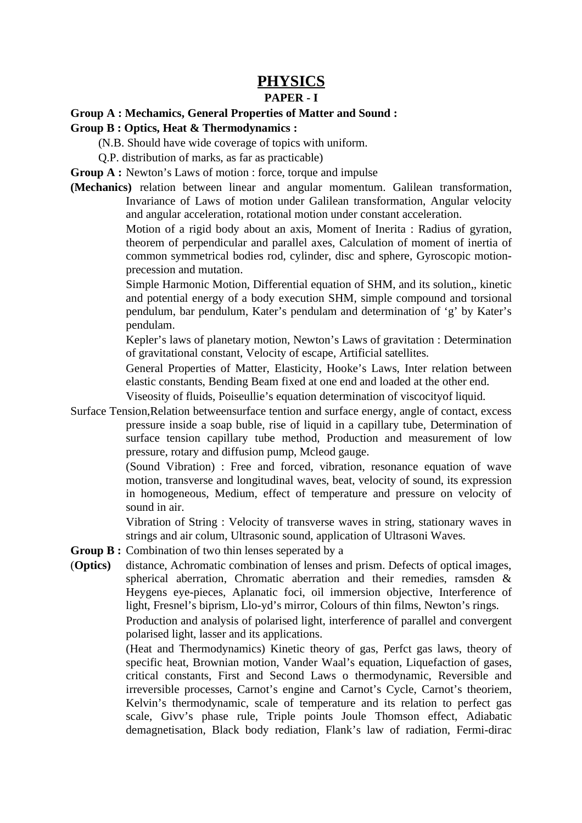# **PHYSICS**

### **PAPER - I**

#### **Group A : Mechamics, General Properties of Matter and Sound :**

#### **Group B : Optics, Heat & Thermodynamics :**

(N.B. Should have wide coverage of topics with uniform.

Q.P. distribution of marks, as far as practicable)

**Group A :** Newton's Laws of motion : force, torque and impulse

**(Mechanics)** relation between linear and angular momentum. Galilean transformation, Invariance of Laws of motion under Galilean transformation, Angular velocity and angular acceleration, rotational motion under constant acceleration.

> Motion of a rigid body about an axis, Moment of Inerita : Radius of gyration, theorem of perpendicular and parallel axes, Calculation of moment of inertia of common symmetrical bodies rod, cylinder, disc and sphere, Gyroscopic motionprecession and mutation.

> Simple Harmonic Motion, Differential equation of SHM, and its solution,, kinetic and potential energy of a body execution SHM, simple compound and torsional pendulum, bar pendulum, Kater's pendulam and determination of 'g' by Kater's pendulam.

> Kepler's laws of planetary motion, Newton's Laws of gravitation : Determination of gravitational constant, Velocity of escape, Artificial satellites.

> General Properties of Matter, Elasticity, Hooke's Laws, Inter relation between elastic constants, Bending Beam fixed at one end and loaded at the other end.

Viseosity of fluids, Poiseullie's equation determination of viscocityof liquid.

Surface Tension,Relation betweensurface tention and surface energy, angle of contact, excess pressure inside a soap buble, rise of liquid in a capillary tube, Determination of surface tension capillary tube method, Production and measurement of low pressure, rotary and diffusion pump, Mcleod gauge.

> (Sound Vibration) : Free and forced, vibration, resonance equation of wave motion, transverse and longitudinal waves, beat, velocity of sound, its expression in homogeneous, Medium, effect of temperature and pressure on velocity of sound in air.

> Vibration of String : Velocity of transverse waves in string, stationary waves in strings and air colum, Ultrasonic sound, application of Ultrasoni Waves.

- **Group B :** Combination of two thin lenses seperated by a
- (**Optics)** distance, Achromatic combination of lenses and prism. Defects of optical images, spherical aberration, Chromatic aberration and their remedies, ramsden & Heygens eye-pieces, Aplanatic foci, oil immersion objective, Interference of light, Fresnel's biprism, Llo-yd's mirror, Colours of thin films, Newton's rings. Production and analysis of polarised light, interference of parallel and convergent polarised light, lasser and its applications.

(Heat and Thermodynamics) Kinetic theory of gas, Perfct gas laws, theory of specific heat, Brownian motion, Vander Waal's equation, Liquefaction of gases, critical constants, First and Second Laws o thermodynamic, Reversible and irreversible processes, Carnot's engine and Carnot's Cycle, Carnot's theoriem, Kelvin's thermodynamic, scale of temperature and its relation to perfect gas scale, Givv's phase rule, Triple points Joule Thomson effect, Adiabatic demagnetisation, Black body rediation, Flank's law of radiation, Fermi-dirac